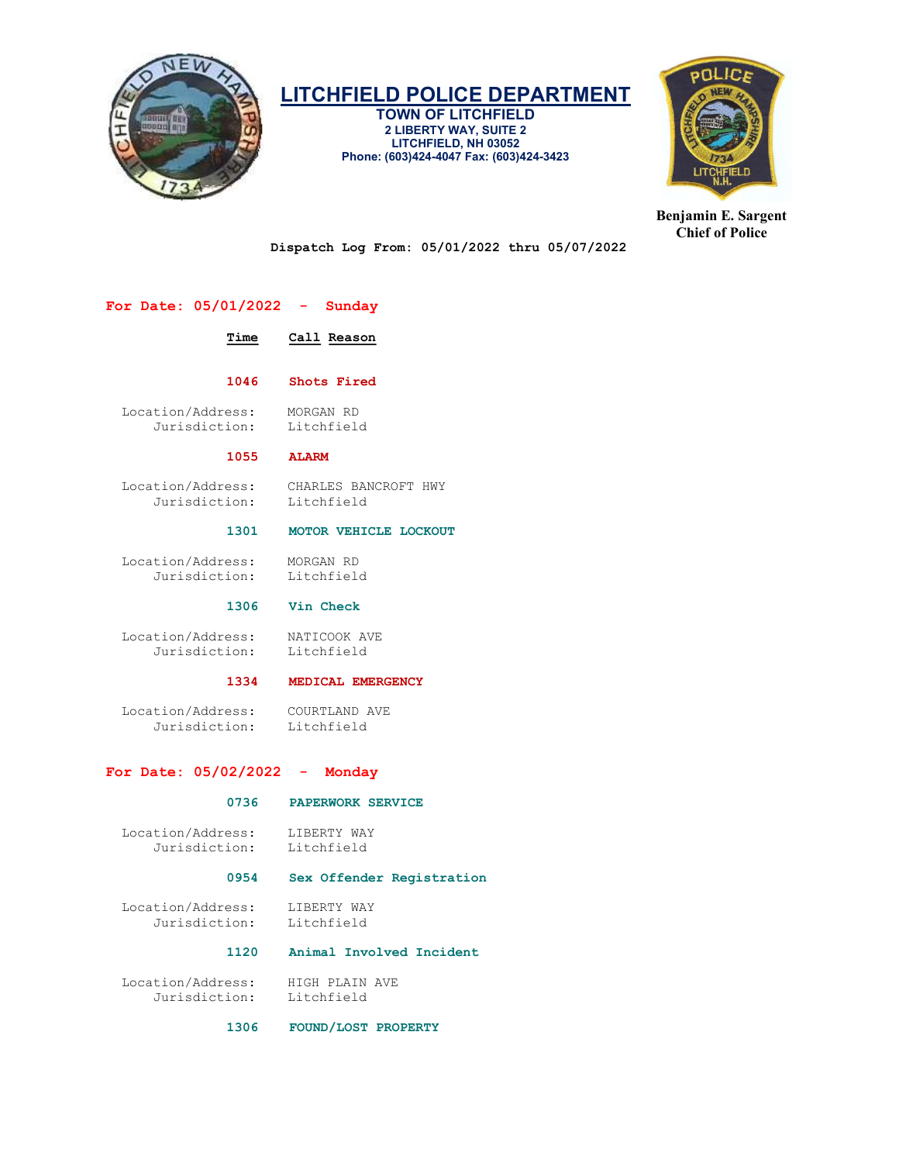

TOWN OF LITCHFIELD 2 LIBERTY WAY, SUITE 2 LITCHFIELD, NH 03052 Phone: (603)424-4047 Fax: (603)424-3423



Benjamin E. Sargent Chief of Police

Dispatch Log From: 05/01/2022 thru 05/07/2022

# For Date: 05/01/2022 - Sunday

# Time Call Reason

1046 Shots Fired

 Location/Address: MORGAN RD Jurisdiction:

#### 1055 ALARM

 Location/Address: CHARLES BANCROFT HWY Jurisdiction:

# 1301 MOTOR VEHICLE LOCKOUT

 Location/Address: MORGAN RD Jurisdiction: Litchfield

# 1306 Vin Check

 Location/Address: NATICOOK AVE Jurisdiction: Litchfield

#### 1334 MEDICAL EMERGENCY

Location/Address: COURTLAND AVE<br>Jurisdiction: Litchfield Jurisdiction:

# For Date: 05/02/2022 - Monday

#### 0736 PAPERWORK SERVICE

Location/Address: LIBERTY WAY<br>Jurisdiction: Litchfield Jurisdiction:

#### 0954 Sex Offender Registration

 Location/Address: LIBERTY WAY Jurisdiction: Litchfield

# 1120 Animal Involved Incident

Location/Address: HIGH PLAIN AVE<br>Jurisdiction: Litchfield Jurisdiction:

1306 FOUND/LOST PROPERTY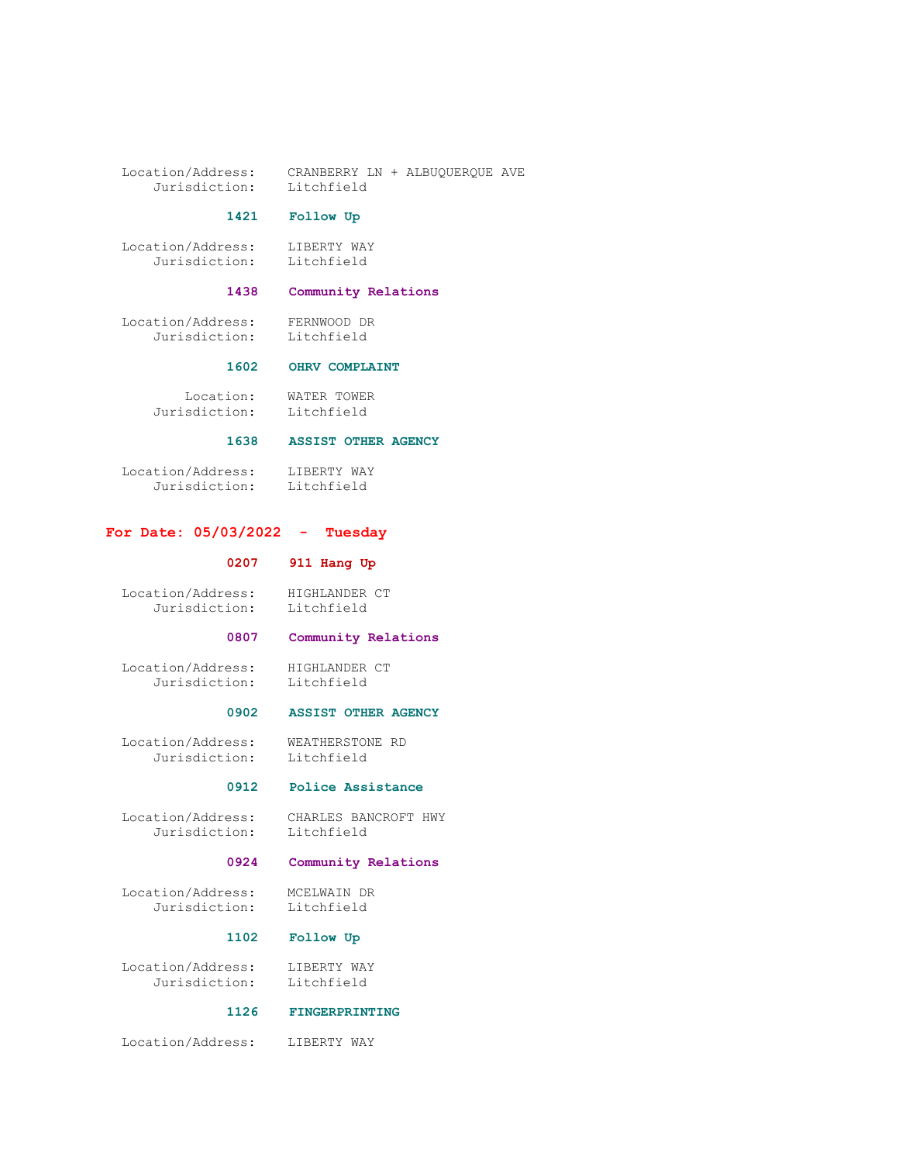Location/Address: CRANBERRY LN + ALBUQUERQUE AVE Jurisdiction: Litchfield

#### 1421 Follow Up

 Location/Address: LIBERTY WAY Jurisdiction: Litchfield

# 1438 Community Relations

 Location/Address: FERNWOOD DR Jurisdiction: Litchfield

# 1602 OHRV COMPLAINT

Location: WATER TOWER<br>sdiction: Litchfield Jurisdiction:

## 1638 ASSIST OTHER AGENCY

 Location/Address: LIBERTY WAY Jurisdiction: Litchfield

# For Date: 05/03/2022 - Tuesday

# 0207 911 Hang Up

 Location/Address: HIGHLANDER CT Jurisdiction: Litchfield

# 0807 Community Relations

Location/Address: HIGHLANDER CT<br>Jurisdiction: Litchfield Jurisdiction:

#### 0902 ASSIST OTHER AGENCY

 Location/Address: WEATHERSTONE RD Jurisdiction: Litchfield

#### 0912 Police Assistance

 Location/Address: CHARLES BANCROFT HWY Jurisdiction: Litchfield

# 0924 Community Relations

 Location/Address: MCELWAIN DR Jurisdiction:

# 1102 Follow Up

Location/Address: LIBERTY WAY<br>Jurisdiction: Litchfield Jurisdiction:

### 1126 FINGERPRINTING

Location/Address: LIBERTY WAY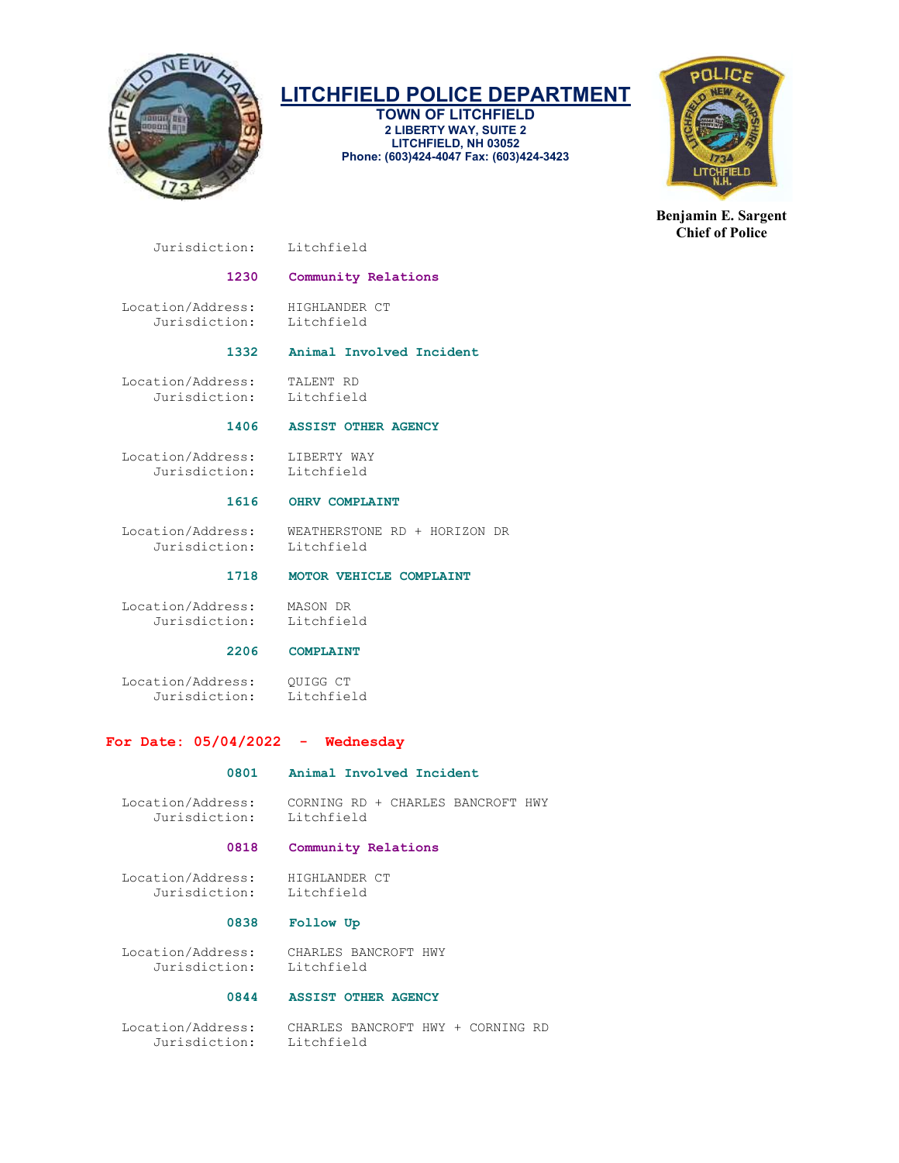

TOWN OF LITCHFIELD 2 LIBERTY WAY, SUITE 2 LITCHFIELD, NH 03052 Phone: (603)424-4047 Fax: (603)424-3423



Benjamin E. Sargent Chief of Police

Jurisdiction: Litchfield

# 1230 Community Relations

Location/Address: HIGHLANDER CT<br>Jurisdiction: Litchfield Jurisdiction:

# 1332 Animal Involved Incident

 Location/Address: TALENT RD Jurisdiction:

# 1406 ASSIST OTHER AGENCY

 Location/Address: LIBERTY WAY Jurisdiction: Litchfield

# 1616 OHRV COMPLAINT

 Location/Address: WEATHERSTONE RD + HORIZON DR Jurisdiction: Litchfield

# 1718 MOTOR VEHICLE COMPLAINT

 Location/Address: MASON DR Jurisdiction:

# 2206 COMPLAINT

 Location/Address: QUIGG CT Jurisdiction:

# For Date: 05/04/2022 - Wednesday

#### 0801 Animal Involved Incident

 Location/Address: CORNING RD + CHARLES BANCROFT HWY Jurisdiction: Litchfield

# 0818 Community Relations

 Location/Address: HIGHLANDER CT Jurisdiction: Litchfield

#### 0838 Follow Up

 Location/Address: CHARLES BANCROFT HWY Jurisdiction:

# 0844 ASSIST OTHER AGENCY

 Location/Address: CHARLES BANCROFT HWY + CORNING RD Jurisdiction: Litchfield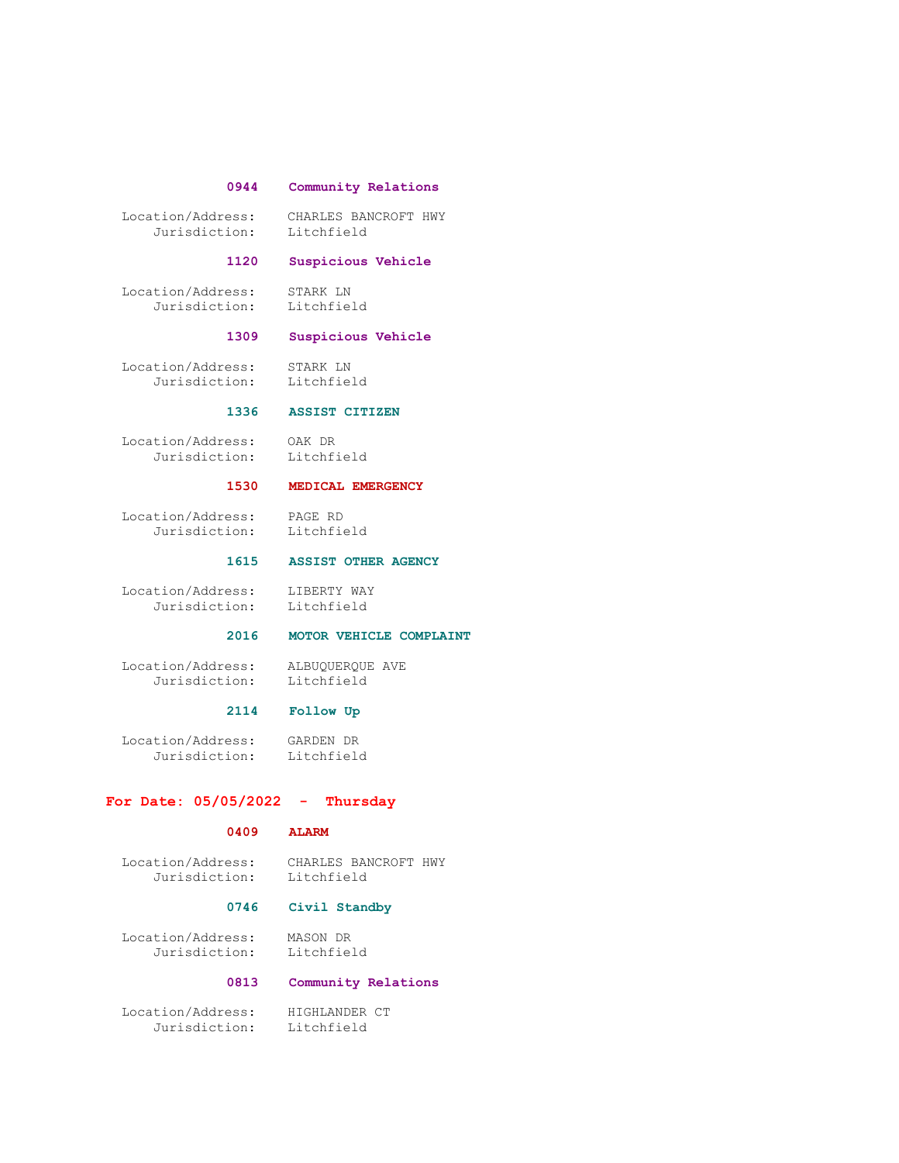# 0944 Community Relations

 Location/Address: CHARLES BANCROFT HWY Jurisdiction: Litchfield

#### 1120 Suspicious Vehicle

 Location/Address: STARK LN Jurisdiction: Litchfield

# 1309 Suspicious Vehicle

Location/Address: STARK LN<br>Jurisdiction: Litchfield Jurisdiction:

# 1336 ASSIST CITIZEN

 Location/Address: OAK DR Jurisdiction: Litchfield

# 1530 MEDICAL EMERGENCY

 Location/Address: PAGE RD Jurisdiction: Litchfield

#### 1615 ASSIST OTHER AGENCY

 Location/Address: LIBERTY WAY Jurisdiction: Litchfield

# 2016 MOTOR VEHICLE COMPLAINT

 Location/Address: ALBUQUERQUE AVE Jurisdiction: Litchfield

# 2114 Follow Up

 Location/Address: GARDEN DR Jurisdiction: Litchfield

### For Date:  $05/05/2022 -$  Thursday

### 0409 ALARM

 Location/Address: CHARLES BANCROFT HWY Jurisdiction: Litchfield

#### 0746 Civil Standby

Location/Address: MASON DR

Litchfield

# 0813 Community Relations

 Location/Address: HIGHLANDER CT Jurisdiction: Litchfield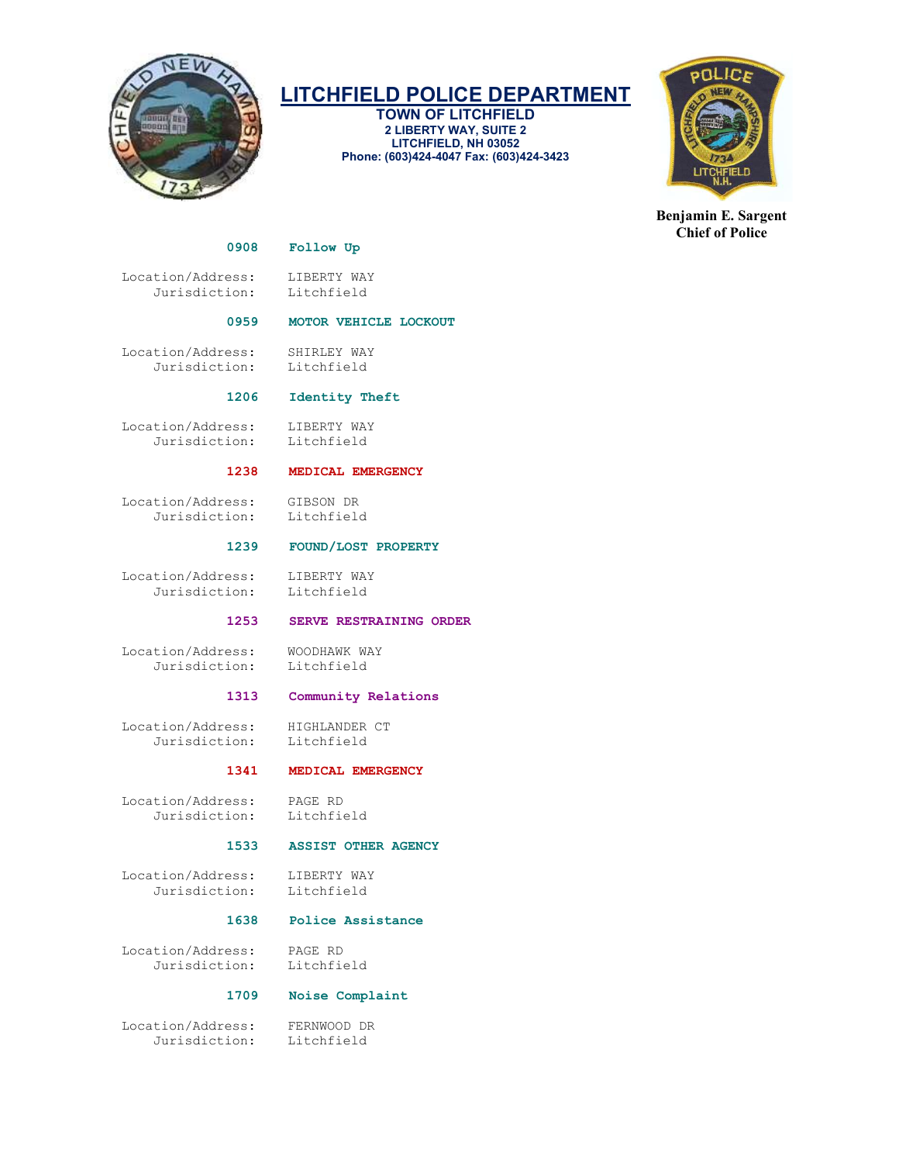

TOWN OF LITCHFIELD 2 LIBERTY WAY, SUITE 2 LITCHFIELD, NH 03052 Phone: (603)424-4047 Fax: (603)424-3423



Benjamin E. Sargent Chief of Police

#### 0908 Follow Up

Location/Address: LIBERTY WAY<br>Jurisdiction: Litchfield Jurisdiction:

### 0959 MOTOR VEHICLE LOCKOUT

 Location/Address: SHIRLEY WAY Jurisdiction: Litchfield

# 1206 Identity Theft

 Location/Address: LIBERTY WAY Jurisdiction: Litchfield

### 1238 MEDICAL EMERGENCY

 Location/Address: GIBSON DR Jurisdiction:

#### 1239 FOUND/LOST PROPERTY

Location/Address: LIBERTY WAY<br>Jurisdiction: Litchfield Jurisdiction:

# 1253 SERVE RESTRAINING ORDER

 Location/Address: WOODHAWK WAY Jurisdiction: Litchfield

#### 1313 Community Relations

Location/Address: HIGHLANDER CT<br>Jurisdiction: Litchfield Jurisdiction:

#### 1341 MEDICAL EMERGENCY

 Location/Address: PAGE RD Jurisdiction:

#### 1533 ASSIST OTHER AGENCY

 Location/Address: LIBERTY WAY Jurisdiction: Litchfield

# 1638 Police Assistance

 Location/Address: PAGE RD Jurisdiction:

#### 1709 Noise Complaint

 Location/Address: FERNWOOD DR Jurisdiction: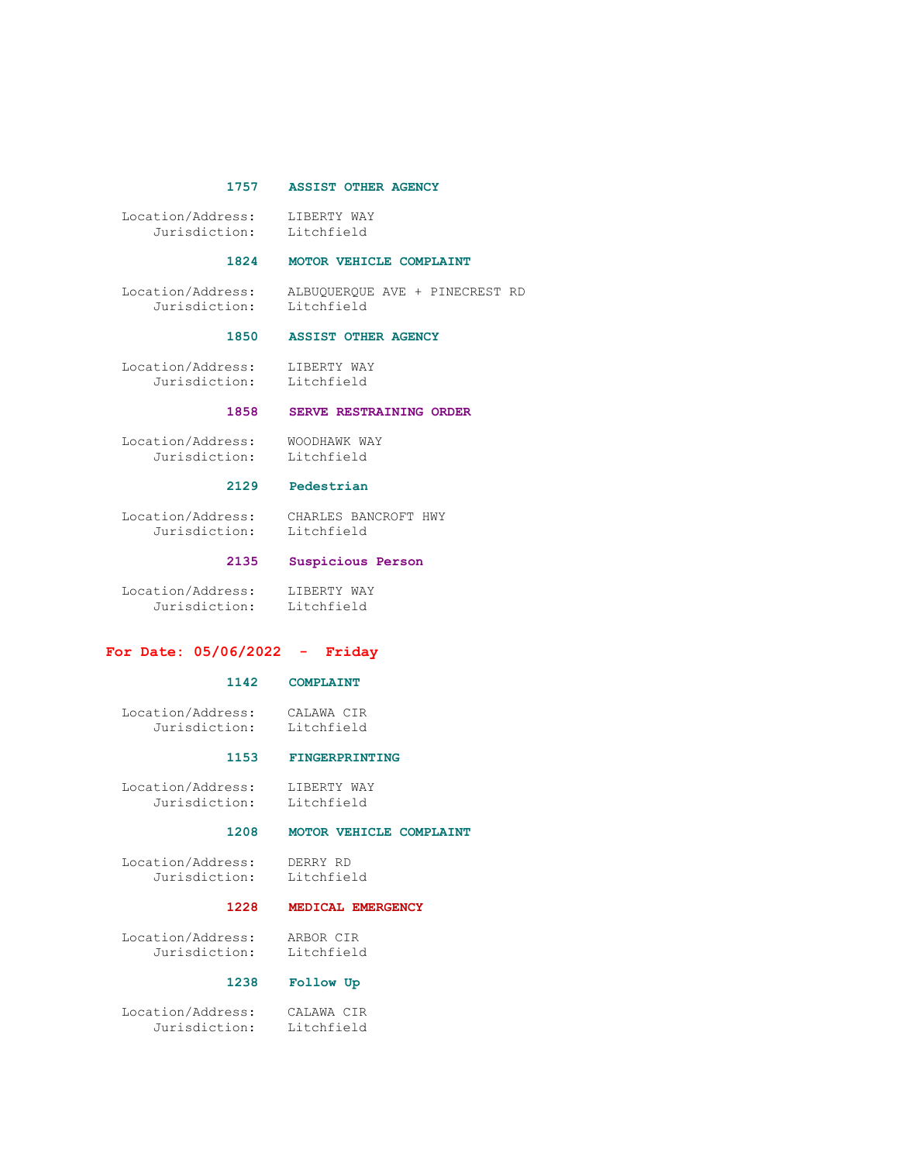#### 1757 ASSIST OTHER AGENCY

 Location/Address: LIBERTY WAY Jurisdiction: Litchfield

#### 1824 MOTOR VEHICLE COMPLAINT

 Location/Address: ALBUQUERQUE AVE + PINECREST RD Jurisdiction: Litchfield

#### 1850 ASSIST OTHER AGENCY

Location/Address: LIBERTY WAY<br>Jurisdiction: Litchfield Jurisdiction:

#### 1858 SERVE RESTRAINING ORDER

Location/Address: WOODHAWK WAY<br>Jurisdiction: Litchfield Jurisdiction:

# 2129 Pedestrian

 Location/Address: CHARLES BANCROFT HWY Jurisdiction: Litchfield

#### 2135 Suspicious Person

 Location/Address: LIBERTY WAY Jurisdiction: Litchfield

#### For Date: 05/06/2022 - Friday

### 1142 COMPLAINT

 Location/Address: CALAWA CIR Litchfield

#### 1153 FINGERPRINTING

 Location/Address: LIBERTY WAY Jurisdiction: Litchfield

#### 1208 MOTOR VEHICLE COMPLAINT

 Location/Address: DERRY RD Jurisdiction:

#### 1228 MEDICAL EMERGENCY

 Location/Address: ARBOR CIR Jurisdiction:

# 1238 Follow Up

 Location/Address: CALAWA CIR Jurisdiction: Litchfield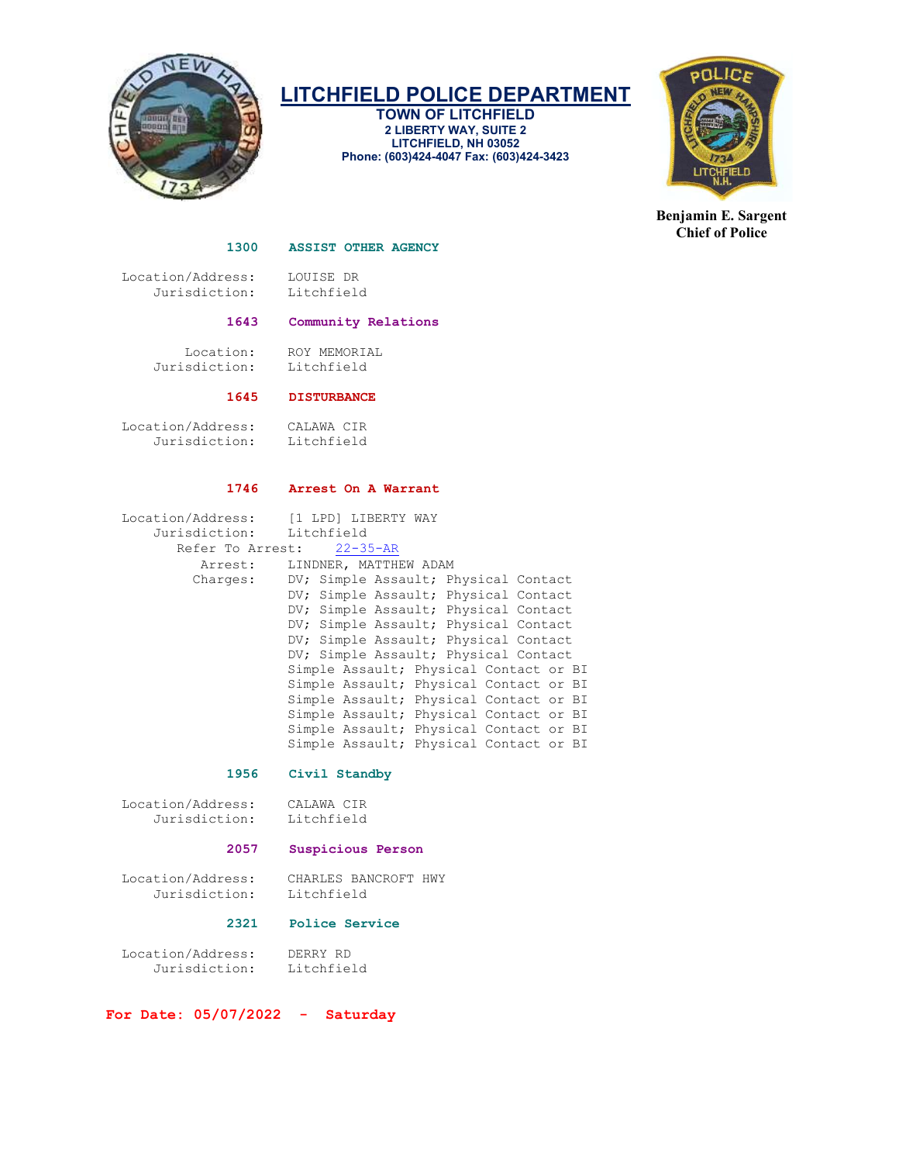

TOWN OF LITCHFIELD 2 LIBERTY WAY, SUITE 2 LITCHFIELD, NH 03052 Phone: (603)424-4047 Fax: (603)424-3423



Benjamin E. Sargent Chief of Police

#### 1300 ASSIST OTHER AGENCY

 Location/Address: LOUISE DR Jurisdiction:

#### 1643 Community Relations

 Location: ROY MEMORIAL Jurisdiction: Litchfield

# 1645 DISTURBANCE

 Location/Address: CALAWA CIR Jurisdiction: Litchfield

#### 1746 Arrest On A Warrant

| Location/Address:         | [1 LPD] LIBERTY WAY                    |  |  |
|---------------------------|----------------------------------------|--|--|
| Jurisdiction: Litchfield  |                                        |  |  |
| Refer To Arrest: 22-35-AR |                                        |  |  |
| Arrest:                   | LINDNER, MATTHEW ADAM                  |  |  |
| Charges:                  | DV; Simple Assault; Physical Contact   |  |  |
|                           | DV; Simple Assault; Physical Contact   |  |  |
|                           | DV; Simple Assault; Physical Contact   |  |  |
|                           | DV; Simple Assault; Physical Contact   |  |  |
|                           | DV; Simple Assault; Physical Contact   |  |  |
|                           | DV; Simple Assault; Physical Contact   |  |  |
|                           | Simple Assault; Physical Contact or BI |  |  |
|                           | Simple Assault; Physical Contact or BI |  |  |
|                           | Simple Assault; Physical Contact or BI |  |  |
|                           | Simple Assault; Physical Contact or BI |  |  |
|                           | Simple Assault; Physical Contact or BI |  |  |
|                           | Simple Assault; Physical Contact or BI |  |  |

#### 1956 Civil Standby

| Location/Address: | CALAWA CIR |  |
|-------------------|------------|--|
| Jurisdiction:     | Litchfield |  |

### 2057 Suspicious Person

 Location/Address: CHARLES BANCROFT HWY Jurisdiction:

### 2321 Police Service

 Location/Address: DERRY RD Jurisdiction:

For Date: 05/07/2022 - Saturday